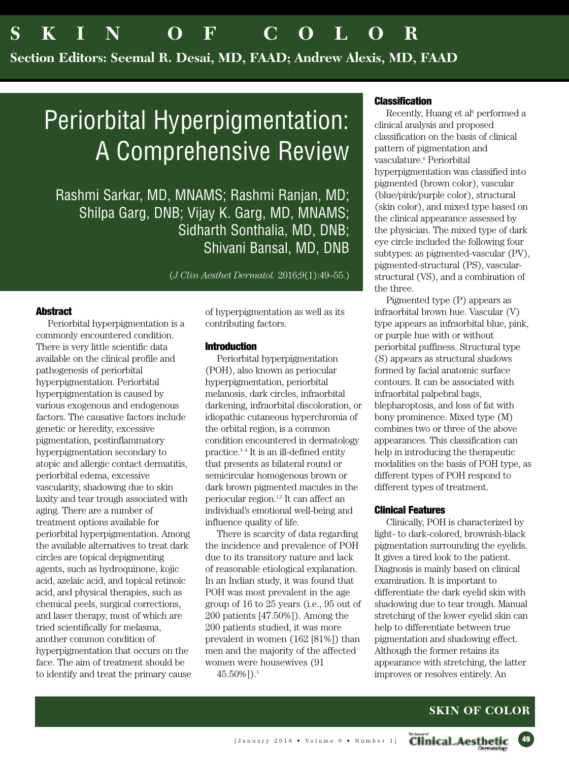**Section Editors: Seemal R. Desai, MD, FAAD; Andrew Alexis, MD, FAAD**

# Periorbital Hyperpigmentation: A Comprehensive Review

Rashmi Sarkar, MD, MNAMS; Rashmi Ranjan, MD; Shilpa Garg, DNB; Vijay K. Garg, MD, MNAMS; Sidharth Sonthalia, MD, DNB; Shivani Bansal, MD, DNB

(*J Clin Aesthet Dermatol.* 2016;9(1):49–55.)

## **Abstract**

Periorbital hyperpigmentation is a commonly encountered condition. There is very little scientific data available on the clinical profile and pathogenesis of periorbital hyperpigmentation. Periorbital hyperpigmentation is caused by various exogenous and endogenous factors. The causative factors include genetic or heredity, excessive pigmentation, postinflammatory hyperpigmentation secondary to atopic and allergic contact dermatitis, periorbital edema, excessive vascularity, shadowing due to skin laxity and tear trough associated with aging. There are a number of treatment options available for periorbital hyperpigmentation. Among the available alternatives to treat dark circles are topical depigmenting agents, such as hydroquinone, kojic acid, azelaic acid, and topical retinoic acid, and physical therapies, such as chemical peels, surgical corrections, and laser therapy, most of which are tried scientifically for melasma, another common condition of hyperpigmentation that occurs on the face. The aim of treatment should be to identify and treat the primary cause of hyperpigmentation as well as its contributing factors.

## **Introduction**

Periorbital hyperpigmentation (POH), also known as periocular hyperpigmentation, periorbital melanosis, dark circles, infraorbital darkening, infraorbital discoloration, or idiopathic cutaneous hyperchromia of the orbital region, is a common condition encountered in dermatology practice. 1–4 It is an ill-defined entity that presents as bilateral round or semicircular homogenous brown or dark brown pigmented macules in the periocular region. 1,2 It can affect an individual's emotional well-being and influence quality of life.

There is scarcity of data regarding the incidence and prevalence of POH due to its transitory nature and lack of reasonable etiological explanation. In an Indian study, it was found that POH was most prevalent in the age group of 16 to 25 years (i.e., 95 out of 200 patients [47.50%]). Among the 200 patients studied, it was more prevalent in women (162 [81%]) than men and the majority of the affected women were housewives (91 45.50%]). 5

#### **Classification**

Recently, Huang et al<sup>6</sup> performed a clinical analysis and proposed classification on the basis of clinical pattern of pigmentation and vasculature. <sup>6</sup> Periorbital hyperpigmentation was classified into pigmented (brown color), vascular (blue/pink/purple color), structural (skin color), and mixed type based on the clinical appearance assessed by the physician. The mixed type of dark eye circle included the following four subtypes: as pigmented-vascular (PV), pigmented-structural (PS), vascularstructural (VS), and a combination of the three.

Pigmented type (P) appears as infraorbital brown hue. Vascular (V) type appears as infraorbital blue, pink, or purple hue with or without periorbital puffiness. Structural type (S) appears as structural shadows formed by facial anatomic surface contours. It can be associated with infraorbital palpebral bags, blepharoptosis, and loss of fat with bony prominence. Mixed type (M) combines two or three of the above appearances. This classification can help in introducing the therapeutic modalities on the basis of POH type, as different types of POH respond to different types of treatment.

## **Clinical Features**

Clinically, POH is characterized by light- to dark-colored, brownish-black pigmentation surrounding the eyelids. It gives a tired look to the patient. Diagnosis is mainly based on clinical examination. It is important to differentiate the dark eyelid skin with shadowing due to tear trough. Manual stretching of the lower eyelid skin can help to differentiate between true pigmentation and shadowing effect. Although the former retains its appearance with stretching, the latter improves or resolves entirely. An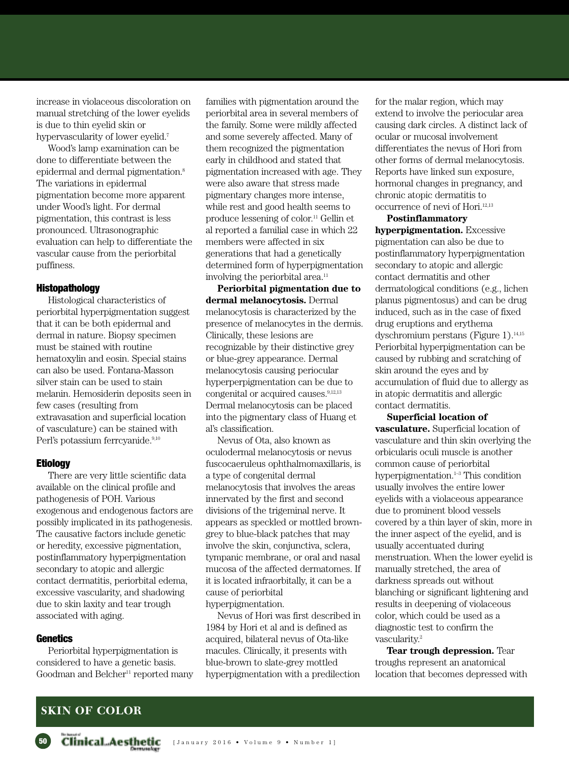increase in violaceous discoloration on manual stretching of the lower eyelids is due to thin eyelid skin or hypervascularity of lower eyelid.<sup>7</sup>

Wood's lamp examination can be done to differentiate between the epidermal and dermal pigmentation. 8 The variations in epidermal pigmentation become more apparent under Wood's light. For dermal pigmentation, this contrast is less pronounced. Ultrasonographic evaluation can help to differentiate the vascular cause from the periorbital puffiness.

#### **Histopathology**

Histological characteristics of periorbital hyperpigmentation suggest that it can be both epidermal and dermal in nature. Biopsy specimen must be stained with routine hematoxylin and eosin. Special stains can also be used. Fontana-Masson silver stain can be used to stain melanin. Hemosiderin deposits seen in few cases (resulting from extravasation and superficial location of vasculature) can be stained with Perl's potassium ferrcyanide.<sup>9,10</sup>

## **Etiology**

There are very little scientific data available on the clinical profile and pathogenesis of POH. Various exogenous and endogenous factors are possibly implicated in its pathogenesis. The causative factors include genetic or heredity, excessive pigmentation, postinflammatory hyperpigmentation secondary to atopic and allergic contact dermatitis, periorbital edema, excessive vascularity, and shadowing due to skin laxity and tear trough associated with aging.

## **Genetics**

Periorbital hyperpigmentation is considered to have a genetic basis. Goodman and Belcher<sup>11</sup> reported many families with pigmentation around the periorbital area in several members of the family. Some were mildly affected and some severely affected. Many of them recognized the pigmentation early in childhood and stated that pigmentation increased with age. They were also aware that stress made pigmentary changes more intense, while rest and good health seems to produce lessening of color. <sup>11</sup> Gellin et al reported a familial case in which 22 members were affected in six generations that had a genetically determined form of hyperpigmentation involving the periorbital area. 11

**Periorbital pigmentation due to dermal melanocytosis.** Dermal melanocytosis is characterized by the presence of melanocytes in the dermis. Clinically, these lesions are recognizable by their distinctive grey or blue-grey appearance. Dermal melanocytosis causing periocular hyperperpigmentation can be due to congenital or acquired causes. 9,12,13 Dermal melanocytosis can be placed into the pigmentary class of Huang et al's classification.

Nevus of Ota, also known as oculodermal melanocytosis or nevus fuscocaeruleus ophthalmomaxillaris, is a type of congenital dermal melanocytosis that involves the areas innervated by the first and second divisions of the trigeminal nerve. It appears as speckled or mottled browngrey to blue-black patches that may involve the skin, conjunctiva, sclera, tympanic membrane, or oral and nasal mucosa of the affected dermatomes. If it is located infraorbitally, it can be a cause of periorbital hyperpigmentation.

Nevus of Hori was first described in 1984 by Hori et al and is defined as acquired, bilateral nevus of Ota-like macules. Clinically, it presents with blue-brown to slate-grey mottled hyperpigmentation with a predilection

for the malar region, which may extend to involve the periocular area causing dark circles. A distinct lack of ocular or mucosal involvement differentiates the nevus of Hori from other forms of dermal melanocytosis. Reports have linked sun exposure, hormonal changes in pregnancy, and chronic atopic dermatitis to occurrence of nevi of Hori. 12,13

# **Postinflammatory**

**hyperpigmentation.** Excessive pigmentation can also be due to postinflammatory hyperpigmentation secondary to atopic and allergic contact dermatitis and other dermatological conditions (e.g., lichen planus pigmentosus) and can be drug induced, such as in the case of fixed drug eruptions and erythema dyschromium perstans (Figure 1). 14,15 Periorbital hyperpigmentation can be caused by rubbing and scratching of skin around the eyes and by accumulation of fluid due to allergy as in atopic dermatitis and allergic contact dermatitis.

**Superficial location of vasculature.** Superficial location of vasculature and thin skin overlying the orbicularis oculi muscle is another common cause of periorbital hyperpigmentation. 1–3 This condition usually involves the entire lower eyelids with a violaceous appearance due to prominent blood vessels covered by a thin layer of skin, more in the inner aspect of the eyelid, and is usually accentuated during menstruation. When the lower eyelid is manually stretched, the area of darkness spreads out without blanching or significant lightening and results in deepening of violaceous color, which could be used as a diagnostic test to confirm the vascularity. 2

**Tear trough depression.** Tear troughs represent an anatomical location that becomes depressed with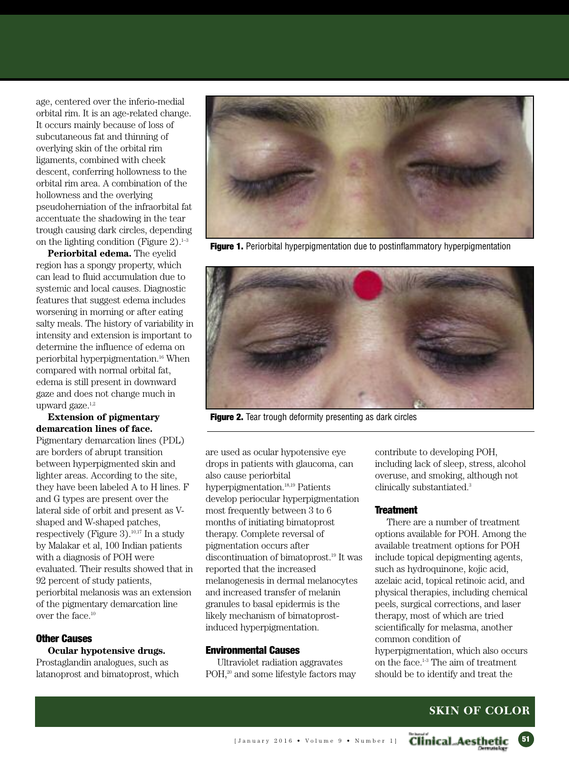age, centered over the inferio-medial orbital rim. It is an age-related change. It occurs mainly because of loss of subcutaneous fat and thinning of overlying skin of the orbital rim ligaments, combined with cheek descent, conferring hollowness to the orbital rim area. A combination of the hollowness and the overlying pseudoherniation of the infraorbital fat accentuate the shadowing in the tear trough causing dark circles, depending on the lighting condition (Figure 2). 1–3

**Periorbital edema.** The eyelid region has a spongy property, which can lead to fluid accumulation due to systemic and local causes. Diagnostic features that suggest edema includes worsening in morning or after eating salty meals. The history of variability in intensity and extension is important to determine the influence of edema on periorbital hyperpigmentation. <sup>16</sup> When compared with normal orbital fat, edema is still present in downward gaze and does not change much in upward gaze.<sup>1,2</sup>

## **Extension of pigmentary demarcation lines of face.**

Pigmentary demarcation lines (PDL) are borders of abrupt transition between hyperpigmented skin and lighter areas. According to the site, they have been labeled A to H lines. F and G types are present over the lateral side of orbit and present as Vshaped and W-shaped patches, respectively (Figure 3). 10,17 In a study by Malakar et al, 100 Indian patients with a diagnosis of POH were evaluated. Their results showed that in 92 percent of study patients, periorbital melanosis was an extension of the pigmentary demarcation line over the face. 10

## **Other Causes**

## **Ocular hypotensive drugs.**

Prostaglandin analogues, such as latanoprost and bimatoprost, which



**Figure 1.** Periorbital hyperpigmentation due to postinflammatory hyperpigmentation



**Figure 2.** Tear trough deformity presenting as dark circles

are used as ocular hypotensive eye drops in patients with glaucoma, can also cause periorbital hyperpigmentation. 18,19 Patients develop periocular hyperpigmentation most frequently between 3 to 6 months of initiating bimatoprost therapy. Complete reversal of pigmentation occurs after discontinuation of bimatoprost. <sup>19</sup> It was reported that the increased melanogenesis in dermal melanocytes and increased transfer of melanin granules to basal epidermis is the likely mechanism of bimatoprostinduced hyperpigmentation.

#### **Environmental Causes**

Ultraviolet radiation aggravates POH,<sup>20</sup> and some lifestyle factors may

contribute to developing POH, including lack of sleep, stress, alcohol overuse, and smoking, although not clinically substantiated. 3

#### **Treatment**

There are a number of treatment options available for POH. Among the available treatment options for POH include topical depigmenting agents, such as hydroquinone, kojic acid, azelaic acid, topical retinoic acid, and physical therapies, including chemical peels, surgical corrections, and laser therapy, most of which are tried scientifically for melasma, another common condition of hyperpigmentation, which also occurs on the face. 1-3 The aim of treatment should be to identify and treat the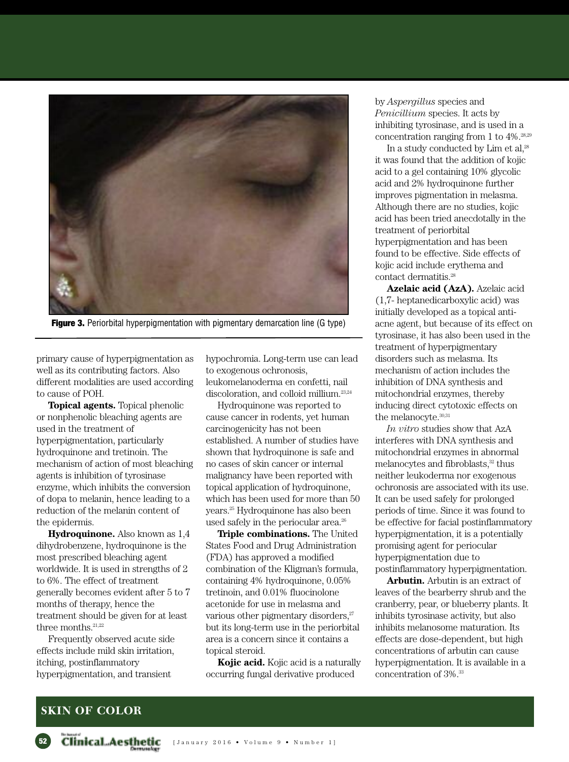

**Figure 3.** Periorbital hyperpigmentation with pigmentary demarcation line (G type)

primary cause of hyperpigmentation as well as its contributing factors. Also different modalities are used according to cause of POH.

**Topical agents.** Topical phenolic or nonphenolic bleaching agents are used in the treatment of hyperpigmentation, particularly hydroquinone and tretinoin. The mechanism of action of most bleaching agents is inhibition of tyrosinase enzyme, which inhibits the conversion of dopa to melanin, hence leading to a reduction of the melanin content of the epidermis.

**Hydroquinone.** Also known as 1,4 dihydrobenzene, hydroquinone is the most prescribed bleaching agent worldwide. It is used in strengths of 2 to 6%. The effect of treatment generally becomes evident after 5 to 7 months of therapy, hence the treatment should be given for at least three months.<sup>21,22</sup>

Frequently observed acute side effects include mild skin irritation, itching, postinflammatory hyperpigmentation, and transient

hypochromia. Long-term use can lead to exogenous ochronosis, leukomelanoderma en confetti, nail discoloration, and colloid millium. 23,24

Hydroquinone was reported to cause cancer in rodents, yet human carcinogenicity has not been established. A number of studies have shown that hydroquinone is safe and no cases of skin cancer or internal malignancy have been reported with topical application of hydroquinone, which has been used for more than 50 years. <sup>25</sup> Hydroquinone has also been used safely in the periocular area. 26

**Triple combinations.** The United States Food and Drug Administration (FDA) has approved a modified combination of the Kligman's formula, containing 4% hydroquinone, 0.05% tretinoin, and 0.01% fluocinolone acetonide for use in melasma and various other pigmentary disorders,<sup>27</sup> but its long-term use in the periorbital area is a concern since it contains a topical steroid.

**Kojic acid.** Kojic acid is a naturally occurring fungal derivative produced

by *Aspergillus* species and *Penicillium* species. It acts by inhibiting tyrosinase, and is used in a concentration ranging from 1 to 4%. 28,29

In a study conducted by Lim et al,<sup>28</sup> it was found that the addition of kojic acid to a gel containing 10% glycolic acid and 2% hydroquinone further improves pigmentation in melasma. Although there are no studies, kojic acid has been tried anecdotally in the treatment of periorbital hyperpigmentation and has been found to be effective. Side effects of kojic acid include erythema and contact dermatitis. 28

**Azelaic acid (AzA).** Azelaic acid (1,7- heptanedicarboxylic acid) was initially developed as a topical antiacne agent, but because of its effect on tyrosinase, it has also been used in the treatment of hyperpigmentary disorders such as melasma. Its mechanism of action includes the inhibition of DNA synthesis and mitochondrial enzymes, thereby inducing direct cytotoxic effects on the melanocyte.<sup>30,31</sup>

*In vitro* studies show that AzA interferes with DNA synthesis and mitochondrial enzymes in abnormal melanocytes and fibroblasts, <sup>32</sup> thus neither leukoderma nor exogenous ochronosis are associated with its use. It can be used safely for prolonged periods of time. Since it was found to be effective for facial postinflammatory hyperpigmentation, it is a potentially promising agent for periocular hyperpigmentation due to postinflammatory hyperpigmentation.

**Arbutin.** Arbutin is an extract of leaves of the bearberry shrub and the cranberry, pear, or blueberry plants. It inhibits tyrosinase activity, but also inhibits melanosome maturation. Its effects are dose-dependent, but high concentrations of arbutin can cause hyperpigmentation. It is available in a concentration of 3%. 33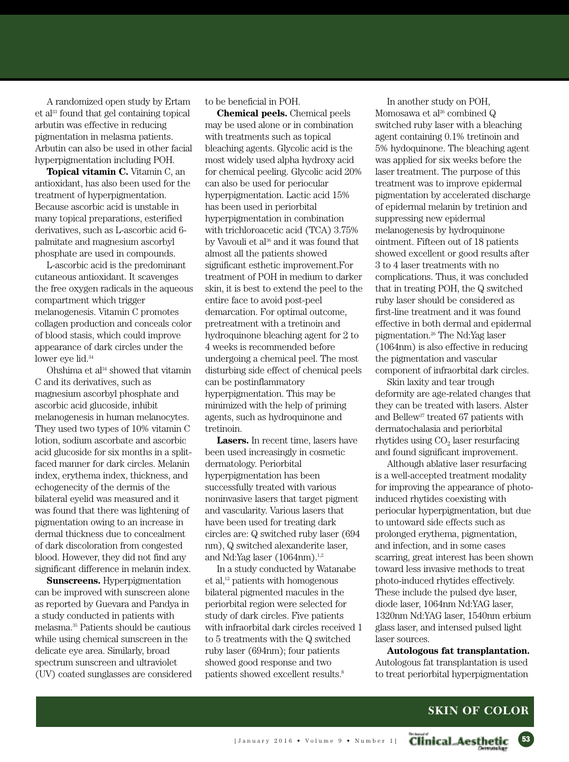A randomized open study by Ertam et al <sup>33</sup> found that gel containing topical arbutin was effective in reducing pigmentation in melasma patients. Arbutin can also be used in other facial hyperpigmentation including POH.

**Topical vitamin C.** Vitamin C, an antioxidant, has also been used for the treatment of hyperpigmentation. Because ascorbic acid is unstable in many topical preparations, esterified derivatives, such as L-ascorbic acid 6 palmitate and magnesium ascorbyl phosphate are used in compounds.

L-ascorbic acid is the predominant cutaneous antioxidant. It scavenges the free oxygen radicals in the aqueous compartment which trigger melanogenesis. Vitamin C promotes collagen production and conceals color of blood stasis, which could improve appearance of dark circles under the lower eye lid. 34

Ohshima et al <sup>34</sup> showed that vitamin C and its derivatives, such as magnesium ascorbyl phosphate and ascorbic acid glucoside, inhibit melanogenesis in human melanocytes. They used two types of 10% vitamin C lotion, sodium ascorbate and ascorbic acid glucoside for six months in a splitfaced manner for dark circles. Melanin index, erythema index, thickness, and echogenecity of the dermis of the bilateral eyelid was measured and it was found that there was lightening of pigmentation owing to an increase in dermal thickness due to concealment of dark discoloration from congested blood. However, they did not find any significant difference in melanin index.

**Sunscreens.** Hyperpigmentation can be improved with sunscreen alone as reported by Guevara and Pandya in a study conducted in patients with melasma. <sup>35</sup> Patients should be cautious while using chemical sunscreen in the delicate eye area. Similarly, broad spectrum sunscreen and ultraviolet (UV) coated sunglasses are considered to be beneficial in POH.

**Chemical peels.** Chemical peels may be used alone or in combination with treatments such as topical bleaching agents. Glycolic acid is the most widely used alpha hydroxy acid for chemical peeling. Glycolic acid 20% can also be used for periocular hyperpigmentation. Lactic acid 15% has been used in periorbital hyperpigmentation in combination with trichloroacetic acid (TCA) 3.75% by Vavouli et al <sup>36</sup> and it was found that almost all the patients showed significant esthetic improvement.For treatment of POH in medium to darker skin, it is best to extend the peel to the entire face to avoid post-peel demarcation. For optimal outcome, pretreatment with a tretinoin and hydroquinone bleaching agent for 2 to 4 weeks is recommended before undergoing a chemical peel. The most disturbing side effect of chemical peels can be postinflammatory hyperpigmentation. This may be minimized with the help of priming agents, such as hydroquinone and tretinoin.

**Lasers.** In recent time, lasers have been used increasingly in cosmetic dermatology. Periorbital hyperpigmentation has been successfully treated with various noninvasive lasers that target pigment and vascularity. Various lasers that have been used for treating dark circles are: Q switched ruby laser (694 nm), Q switched alexanderite laser, and Nd:Yag laser (1064nm).<sup>1,2</sup>

In a study conducted by Watanabe et al, <sup>12</sup> patients with homogenous bilateral pigmented macules in the periorbital region were selected for study of dark circles. Five patients with infraorbital dark circles received 1 to 5 treatments with the Q switched ruby laser (694nm); four patients showed good response and two patients showed excellent results. 8

In another study on POH, Momosawa et al <sup>26</sup> combined Q switched ruby laser with a bleaching agent containing 0.1% tretinoin and 5% hydoquinone. The bleaching agent was applied for six weeks before the laser treatment. The purpose of this treatment was to improve epidermal pigmentation by accelerated discharge of epidermal melanin by tretinion and suppressing new epidermal melanogenesis by hydroquinone ointment. Fifteen out of 18 patients showed excellent or good results after 3 to 4 laser treatments with no complications. Thus, it was concluded that in treating POH, the Q switched ruby laser should be considered as first-line treatment and it was found effective in both dermal and epidermal pigmentation. <sup>26</sup> The Nd:Yag laser (1064nm) is also effective in reducing the pigmentation and vascular component of infraorbital dark circles.

Skin laxity and tear trough deformity are age-related changes that they can be treated with lasers. Alster and Bellew<sup>37</sup> treated 67 patients with dermatochalasia and periorbital rhytides using  $CO<sub>2</sub>$  laser resurfacing and found significant improvement.

Although ablative laser resurfacing is a well-accepted treatment modality for improving the appearance of photoinduced rhytides coexisting with periocular hyperpigmentation, but due to untoward side effects such as prolonged erythema, pigmentation, and infection, and in some cases scarring, great interest has been shown toward less invasive methods to treat photo-induced rhytides effectively. These include the pulsed dye laser, diode laser, 1064nm Nd:YAG laser, 1320nm Nd:YAG laser, 1540nm erbium glass laser, and intensed pulsed light laser sources.

**Autologous fat transplantation.** Autologous fat transplantation is used to treat periorbital hyperpigmentation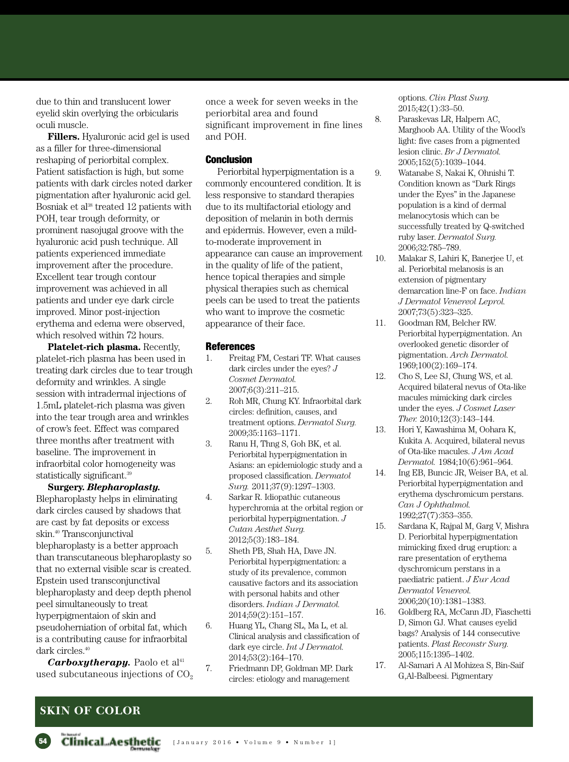due to thin and translucent lower eyelid skin overlying the orbicularis oculi muscle.

**Fillers.** Hyaluronic acid gel is used as a filler for three-dimensional reshaping of periorbital complex. Patient satisfaction is high, but some patients with dark circles noted darker pigmentation after hyaluronic acid gel. Bosniak et al <sup>38</sup> treated 12 patients with POH, tear trough deformity, or prominent nasojugal groove with the hyaluronic acid push technique. All patients experienced immediate improvement after the procedure. Excellent tear trough contour improvement was achieved in all patients and under eye dark circle improved. Minor post-injection erythema and edema were observed, which resolved within 72 hours.

**Platelet-rich plasma.** Recently, platelet-rich plasma has been used in treating dark circles due to tear trough deformity and wrinkles. A single session with intradermal injections of 1.5mL platelet-rich plasma was given into the tear trough area and wrinkles of crow's feet. Effect was compared three months after treatment with baseline. The improvement in infraorbital color homogeneity was statistically significant.<sup>39</sup>

**Surgery.** *Blepharoplasty.* Blepharoplasty helps in eliminating dark circles caused by shadows that are cast by fat deposits or excess skin. <sup>40</sup> Transconjunctival blepharoplasty is a better approach than transcutaneous blepharoplasty so that no external visible scar is created. Epstein used transconjunctival blepharoplasty and deep depth phenol peel simultaneously to treat hyperpigmentaion of skin and pseudoherniation of orbital fat, which is a contributing cause for infraorbital dark circles. 40

*Carboxytherapy.* Paolo et al 41 used subcutaneous injections of  $CO<sub>2</sub>$  once a week for seven weeks in the periorbital area and found significant improvement in fine lines and POH.

## **Conclusion**

Periorbital hyperpigmentation is a commonly encountered condition. It is less responsive to standard therapies due to its multifactorial etiology and deposition of melanin in both dermis and epidermis. However, even a mildto-moderate improvement in appearance can cause an improvement in the quality of life of the patient, hence topical therapies and simple physical therapies such as chemical peels can be used to treat the patients who want to improve the cosmetic appearance of their face.

#### **References**

- 1. Freitag FM, Cestari TF. What causes dark circles under the eyes? *J Cosmet Dermatol.* 2007;6(3):211–215.
- 2. Roh MR, Chung KY. Infraorbital dark circles: definition, causes, and treatment options. *Dermatol Surg.* 2009;35:1163–1171.
- 3. Ranu H, Thng S, Goh BK, et al. Periorbital hyperpigmentation in Asians: an epidemiologic study and a proposed classification. *Dermatol Surg.* 2011;37(9):1297–1303.
- 4. Sarkar R. Idiopathic cutaneous hyperchromia at the orbital region or periorbital hyperpigmentation. *J Cutan Aesthet Surg.* 2012;5(3):183–184.
- 5. Sheth PB, Shah HA, Dave JN. Periorbital hyperpigmentation: a study of its prevalence, common causative factors and its association with personal habits and other disorders. *Indian J Dermatol.* 2014;59(2):151–157.
- 6. Huang YL, Chang SL, Ma L, et al. Clinical analysis and classification of dark eye circle. *Int J Dermatol.* 2014;53(2):164–170.
- 7. Friedmann DP, Goldman MP. Dark circles: etiology and management

options. *Clin Plast Surg.* 2015;42(1):33–50.

- 8. Paraskevas LR, Halpern AC, Marghoob AA. Utility of the Wood's light: five cases from a pigmented lesion clinic. *Br J Dermatol.* 2005;152(5):1039–1044.
- 9. Watanabe S, Nakai K, Ohnishi T. Condition known as ''Dark Rings under the Eyes'' in the Japanese population is a kind of dermal melanocytosis which can be successfully treated by Q-switched ruby laser. *Dermatol Surg.* 2006;32:785–789.
- 10. Malakar S, Lahiri K, Banerjee U, et al. Periorbital melanosis is an extension of pigmentary demarcation line-F on face. *Indian J Dermatol Venereol Leprol.* 2007;73(5):323–325.
- 11. Goodman RM, Belcher RW. Periorbital hyperpigmentation. An overlooked genetic disorder of pigmentation. *Arch Dermatol.* 1969;100(2):169–174.
- 12. Cho S, Lee SJ, Chung WS, et al. Acquired bilateral nevus of Ota-like macules mimicking dark circles under the eyes. *J Cosmet Laser Ther.* 2010;12(3):143–144.
- 13. Hori Y, Kawashima M, Oohara K, Kukita A. Acquired, bilateral nevus of Ota-like macules. *J Am Acad Dermatol.* 1984;10(6):961–964.
- 14. Ing EB, Buncic JR, Weiser BA, et al. Periorbital hyperpigmentation and erythema dyschromicum perstans. *Can J Ophthalmol.* 1992;27(7):353–355.
- 15. Sardana K, Rajpal M, Garg V, Mishra D. Periorbital hyperpigmentation mimicking fixed drug eruption: a rare presentation of erythema dyschromicum perstans in a paediatric patient. *J Eur Acad Dermatol Venereol.* 2006;20(10):1381–1383.
- 16. Goldberg RA, McCann JD, Fiaschetti D, Simon GJ. What causes eyelid bags? Analysis of 144 consecutive patients. *Plast Reconstr Surg.* 2005;115:1395–1402.
- 17. Al-Samari A Al Mohizea S, Bin-Saif G,Al-Balbeesi. Pigmentary